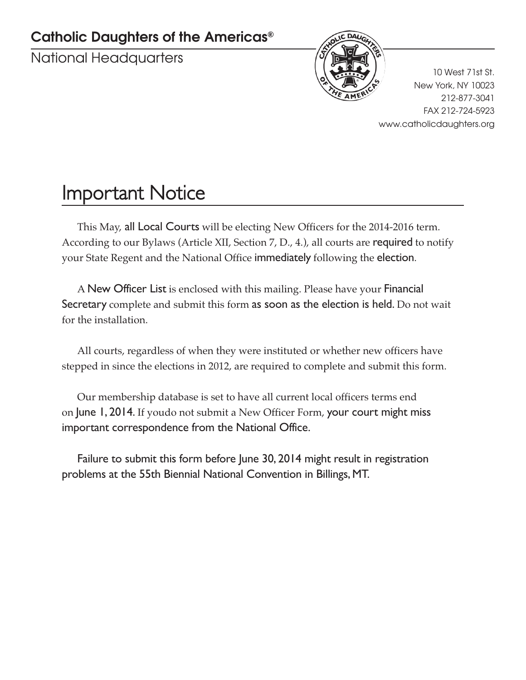### **Catholic Daughters of the Americas®**

National Headquarters



10 West 71st St. New York, NY 10023 212-877-3041 FAX 212-724-5923 www.catholicdaughters.org

## Important Notice

This May, all Local Courts will be electing New Officers for the 2014-2016 term. According to our Bylaws (Article XII, Section 7, D., 4.), all courts are required to notify your State Regent and the National Office immediately following the election.

A New Officer List is enclosed with this mailing. Please have your Financial Secretary complete and submit this form as soon as the election is held. Do not wait for the installation.

All courts, regardless of when they were instituted or whether new officers have stepped in since the elections in 2012, are required to complete and submit this form.

Our membership database is set to have all current local officers terms end on June 1, 2014. If youdo not submit a New Officer Form, your court might miss important correspondence from the National Office.

Failure to submit this form before June 30, 2014 might result in registration problems at the 55th Biennial National Convention in Billings, MT.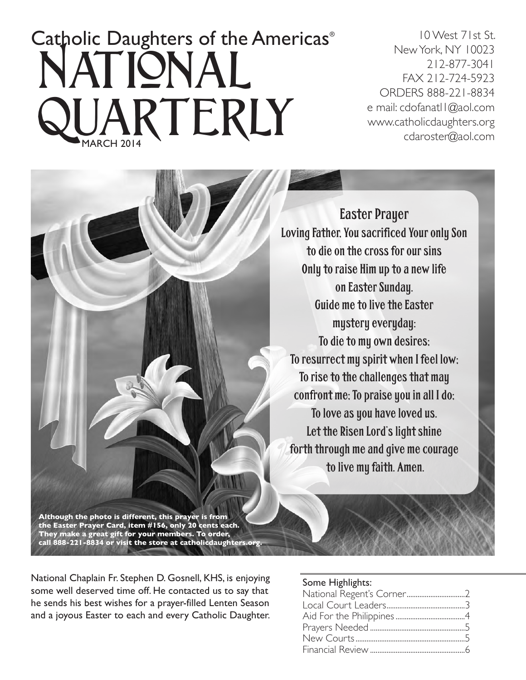# Catholic Daughters of the Americas® UARTERLY National

10 West 71st St. New York, NY 10023 212-877-3041 FAX 212-724-5923 ORDERS 888-221-8834 e mail: cdofanatl1@aol.com www.catholicdaughters.org cdaroster@aol.com



Easter Prayer Loving Father, You sacrificed Your only Son to die on the cross for our sins Only to raise Him up to a new life on Easter Sunday. Guide me to live the Easter mystery everyday: To die to my own desires; To resurrect my spirit when I feel low; To rise to the challenges that may confront me; To praise you in all I do; To love as you have loved us. Let the Risen Lord's light shine forth through me and give me courage to live my faith. Amen.

**call 888-221-8834 or visit the store at catholicdaughters.org.**

National Chaplain Fr. Stephen D. Gosnell, KHS, is enjoying some well deserved time off. He contacted us to say that he sends his best wishes for a prayer-filled Lenten Season and a joyous Easter to each and every Catholic Daughter.

#### Some Highlights: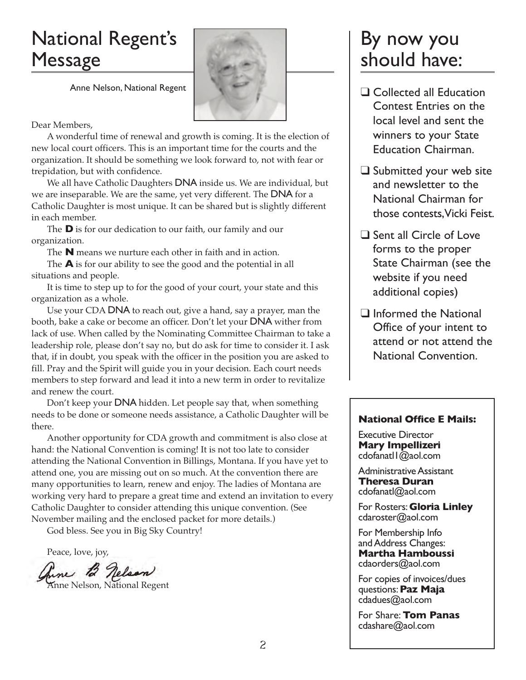## National Regent's Message

Anne Nelson, National Regent



### Dear Members,

A wonderful time of renewal and growth is coming. It is the election of new local court officers. This is an important time for the courts and the organization. It should be something we look forward to, not with fear or trepidation, but with confidence.

We all have Catholic Daughters DNA inside us. We are individual, but we are inseparable. We are the same, yet very different. The **DNA** for a Catholic Daughter is most unique. It can be shared but is slightly different in each member.

The **D** is for our dedication to our faith, our family and our organization.

The **N** means we nurture each other in faith and in action.

The **A** is for our ability to see the good and the potential in all situations and people.

It is time to step up to for the good of your court, your state and this organization as a whole.

Use your CDA DNA to reach out, give a hand, say a prayer, man the booth, bake a cake or become an officer. Don't let your DNA wither from lack of use. When called by the Nominating Committee Chairman to take a leadership role, please don't say no, but do ask for time to consider it. I ask that, if in doubt, you speak with the officer in the position you are asked to fill. Pray and the Spirit will guide you in your decision. Each court needs members to step forward and lead it into a new term in order to revitalize and renew the court.

Don't keep your **DNA** hidden. Let people say that, when something needs to be done or someone needs assistance, a Catholic Daughter will be there.

Another opportunity for CDA growth and commitment is also close at hand: the National Convention is coming! It is not too late to consider attending the National Convention in Billings, Montana. If you have yet to attend one, you are missing out on so much. At the convention there are many opportunities to learn, renew and enjoy. The ladies of Montana are working very hard to prepare a great time and extend an invitation to every Catholic Daughter to consider attending this unique convention. (See November mailing and the enclosed packet for more details.)

God bless. See you in Big Sky Country!

Peace, love, joy,

Anne B Nelson

### By now you should have:

- $\Box$  Collected all Education Contest Entries on the local level and sent the winners to your State Education Chairman.
- $\Box$  Submitted your web site and newsletter to the National Chairman for those contests, Vicki Feist.
- $\Box$  Sent all Circle of Love forms to the proper State Chairman (see the website if you need additional copies)
- $\Box$  Informed the National Office of your intent to attend or not attend the National Convention.

### **National Office E Mails:**

Executive Director **Mary Impellizeri** cdofanatl1@aol.com

Administrative Assistant **Theresa Duran** cdofanatl@aol.com

For Rosters: **Gloria Linley** cdaroster@aol.com

For Membership Info and Address Changes: **Martha Hamboussi** cdaorders@aol.com

For copies of invoices/dues questions: **Paz Maja** cdadues@aol.com

For Share: **Tom Panas** cdashare@aol.com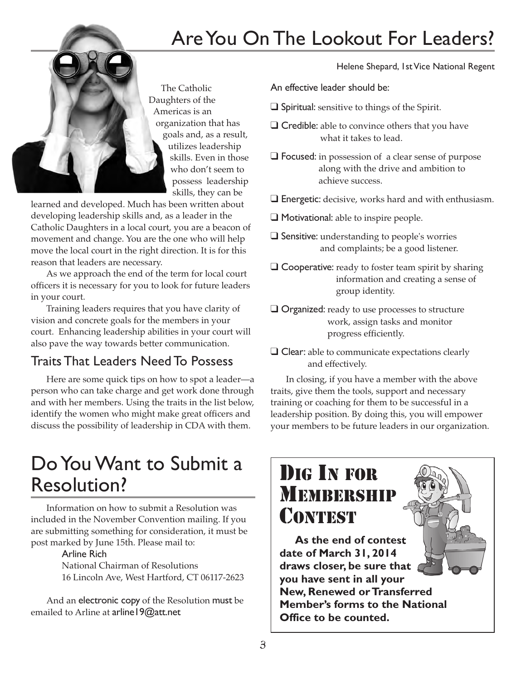## Are You On The Lookout For Leaders?



learned and developed. Much has been written about developing leadership skills and, as a leader in the Catholic Daughters in a local court, you are a beacon of movement and change. You are the one who will help move the local court in the right direction. It is for this reason that leaders are necessary.

As we approach the end of the term for local court officers it is necessary for you to look for future leaders in your court.

Training leaders requires that you have clarity of vision and concrete goals for the members in your court. Enhancing leadership abilities in your court will also pave the way towards better communication.

### Traits That Leaders Need To Possess

Here are some quick tips on how to spot a leader—a person who can take charge and get work done through and with her members. Using the traits in the list below, identify the women who might make great officers and discuss the possibility of leadership in CDA with them.

## Do You Want to Submit a Resolution?

Information on how to submit a Resolution was included in the November Convention mailing. If you are submitting something for consideration, it must be post marked by June 15th. Please mail to:

### Arline Rich

National Chairman of Resolutions 16 Lincoln Ave, West Hartford, CT 06117-2623

And an electronic copy of the Resolution must be emailed to Arline at arline 19@att.net

Helene Shepard, 1st Vice National Regent

An effective leader should be:

- $\Box$  Spiritual: sensitive to things of the Spirit.
- $\Box$  Credible: able to convince others that you have what it takes to lead.
- $\Box$  Focused: in possession of a clear sense of purpose along with the drive and ambition to achieve success.
- $\square$  Energetic: decisive, works hard and with enthusiasm.
- $\Box$  Motivational: able to inspire people.
- $\square$  Sensitive: understanding to people's worries and complaints; be a good listener.
- $\Box$  Cooperative: ready to foster team spirit by sharing information and creating a sense of group identity.
- $\Box$  Organized: ready to use processes to structure work, assign tasks and monitor progress efficiently.
- $\Box$  Clear: able to communicate expectations clearly and effectively.

In closing, if you have a member with the above traits, give them the tools, support and necessary training or coaching for them to be successful in a leadership position. By doing this, you will empower your members to be future leaders in our organization.

## DIG IN FOR **MEMBERSHIP CONTEST**

**As the end of contest date of March 31, 2014 draws closer, be sure that you have sent in all your New, Renewed or Transferred Member's forms to the National Office to be counted.**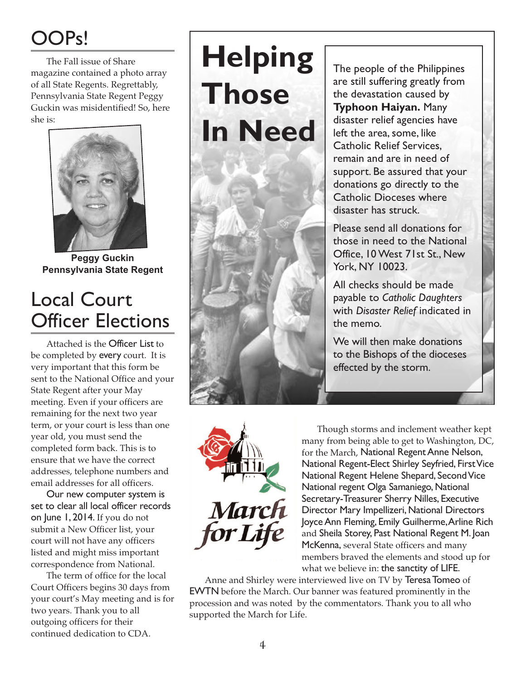## OOPs!

The Fall issue of Share magazine contained a photo array of all State Regents. Regrettably, Pennsylvania State Regent Peggy Guckin was misidentified! So, here she is:



**Peggy Guckin Pennsylvania State Regent**

## Local Court Officer Elections

Attached is the Officer List to be completed by every court. It is very important that this form be sent to the National Office and your State Regent after your May meeting. Even if your officers are remaining for the next two year term, or your court is less than one year old, you must send the completed form back. This is to ensure that we have the correct addresses, telephone numbers and email addresses for all officers.

Our new computer system is set to clear all local officer records on June 1, 2014. If you do not submit a New Officer list, your court will not have any officers listed and might miss important correspondence from National.

The term of office for the local Court Officers begins 30 days from your court's May meeting and is for two years. Thank you to all outgoing officers for their continued dedication to CDA.



The people of the Philippines are still suffering greatly from the devastation caused by **Typhoon Haiyan.** Many disaster relief agencies have left the area, some, like Catholic Relief Services, remain and are in need of support. Be assured that your donations go directly to the Catholic Dioceses where disaster has struck.

Please send all donations for those in need to the National Office, 10 West 71st St., New York, NY 10023.

All checks should be made payable to *Catholic Daughters* with *Disaster Relief* indicated in the memo.

We will then make donations to the Bishops of the dioceses effected by the storm.



Though storms and inclement weather kept many from being able to get to Washington, DC, for the March, National Regent Anne Nelson, National Regent-Elect Shirley Seyfried, First Vice National Regent Helene Shepard, Second Vice National regent Olga Samaniego, National Secretary-Treasurer Sherry Nilles, Executive Director Mary Impellizeri, National Directors Joyce Ann Fleming, Emily Guilherme, Arline Rich and Sheila Storey, Past National Regent M. Joan McKenna, several State officers and many members braved the elements and stood up for what we believe in: the sanctity of LIFE.

Anne and Shirley were interviewed live on TV by Teresa Tomeo of EWTN before the March. Our banner was featured prominently in the procession and was noted by the commentators. Thank you to all who supported the March for Life.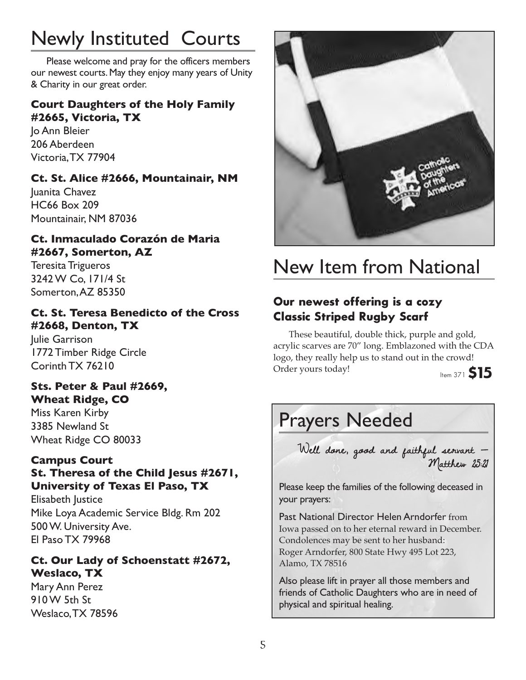## Newly Instituted Courts

Please welcome and pray for the officers members our newest courts. May they enjoy many years of Unity & Charity in our great order.

### **Court Daughters of the Holy Family #2665, Victoria, TX**

Jo Ann Bleier 206 Aberdeen Victoria, TX 77904

### **Ct. St. Alice #2666, Mountainair, NM**

Juanita Chavez HC66 Box 209 Mountainair, NM 87036

### **Ct. Inmaculado Corazón de Maria #2667, Somerton, AZ**

Teresita Trigueros 3242 W Co, 171/4 St Somerton, AZ 85350

### **Ct. St. Teresa Benedicto of the Cross #2668, Denton, TX**

Julie Garrison 1772 Timber Ridge Circle Corinth TX 76210

### **Sts. Peter & Paul #2669, Wheat Ridge, CO**

Miss Karen Kirby 3385 Newland St Wheat Ridge CO 80033

### **Campus Court**

**St. Theresa of the Child Jesus #2671, University of Texas El Paso, TX**

Elisabeth Justice Mike Loya Academic Service Bldg. Rm 202 500 W. University Ave. El Paso TX 79968

### **Ct. Our Lady of Schoenstatt #2672, Weslaco, TX**

Mary Ann Perez 910 W 5th St Weslaco, TX 78596



## New Item from National

### **Our newest offering is a cozy Classic Striped Rugby Scarf**

These beautiful, double thick, purple and gold, acrylic scarves are 70" long. Emblazoned with the CDA logo, they really help us to stand out in the crowd! Order yours today!

## Prayers Needed

Well done, good and faithful servant — Matthew 25:21

Please keep the families of the following deceased in your prayers:

Past National Director Helen Arndorfer from Iowa passed on to her eternal reward in December. Condolences may be sent to her husband: Roger Arndorfer, 800 State Hwy 495 Lot 223, Alamo, TX 78516

Also please lift in prayer all those members and friends of Catholic Daughters who are in need of physical and spiritual healing.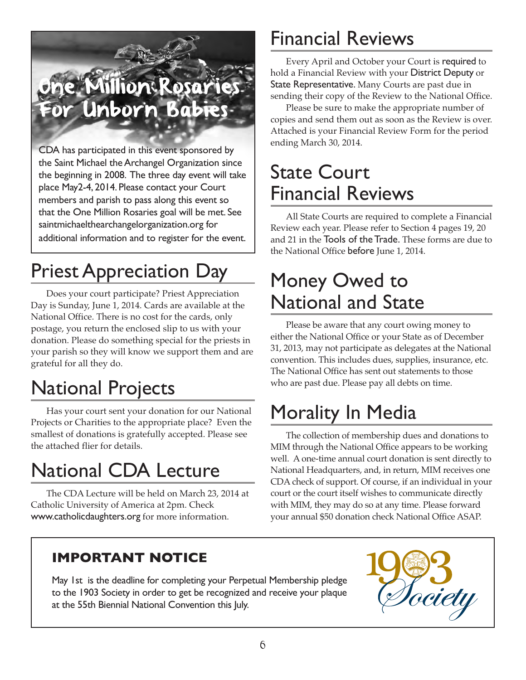## **Million Rosarie** or Unborn Babies

CDA has participated in this event sponsored by the Saint Michael the Archangel Organization since the beginning in 2008. The three day event will take place May2-4, 2014. Please contact your Court members and parish to pass along this event so that the One Million Rosaries goal will be met. See saintmichaelthearchangelorganization.org for additional information and to register for the event.

## Priest Appreciation Day

Does your court participate? Priest Appreciation Day is Sunday, June 1, 2014. Cards are available at the National Office. There is no cost for the cards, only postage, you return the enclosed slip to us with your donation. Please do something special for the priests in your parish so they will know we support them and are grateful for all they do.

## National Projects

Has your court sent your donation for our National Projects or Charities to the appropriate place? Even the smallest of donations is gratefully accepted. Please see the attached flier for details.

## National CDA Lecture

The CDA Lecture will be held on March 23, 2014 at Catholic University of America at 2pm. Check www.catholicdaughters.org for more information.

### **IMPORTANT NOTICE**

May 1st is the deadline for completing your Perpetual Membership pledge to the 1903 Society in order to get be recognized and receive your plaque at the 55th Biennial National Convention this July.

## Financial Reviews

Every April and October your Court is required to hold a Financial Review with your District Deputy or State Representative. Many Courts are past due in sending their copy of the Review to the National Office.

Please be sure to make the appropriate number of copies and send them out as soon as the Review is over. Attached is your Financial Review Form for the period ending March 30, 2014.

## State Court Financial Reviews

All State Courts are required to complete a Financial Review each year. Please refer to Section 4 pages 19, 20 and 21 in the Tools of the Trade. These forms are due to the National Office before June 1, 2014.

## Money Owed to National and State

Please be aware that any court owing money to either the National Office or your State as of December 31, 2013, may not participate as delegates at the National convention. This includes dues, supplies, insurance, etc. The National Office has sent out statements to those who are past due. Please pay all debts on time.

## Morality In Media

The collection of membership dues and donations to MIM through the National Office appears to be working well. A one-time annual court donation is sent directly to National Headquarters, and, in return, MIM receives one CDA check of support. Of course, if an individual in your court or the court itself wishes to communicate directly with MIM, they may do so at any time. Please forward your annual \$50 donation check National Office ASAP.

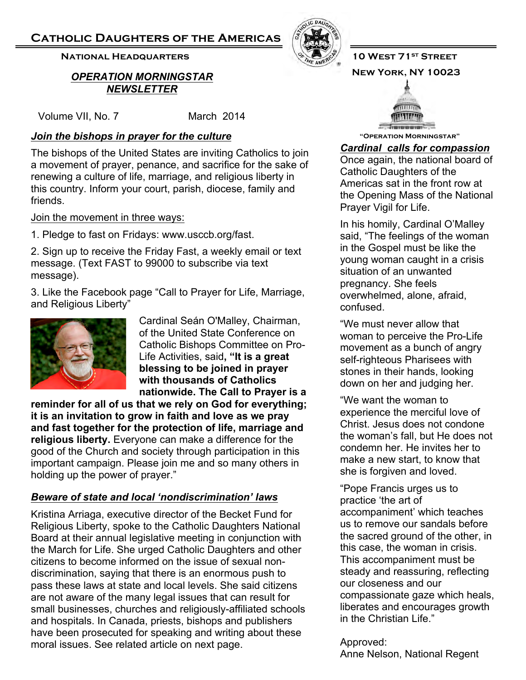### **Catholic Daughters of the Americas**

### **NATIONAL HEADQUARTERS AND RESULTS AND RESULTS OF STREET**

### **New York, NY 10023**  *OPERATION MORNINGSTAR NEWSLETTER*

Volume VII, No. 7 March 2014

### *Join the bishops in prayer for the culture* **<b>Example 2011** The Separation Morningstar"

The bishops of the United States are inviting Catholics to join a movement of prayer, penance, and sacrifice for the sake of renewing a culture of life, marriage, and religious liberty in this country. Inform your court, parish, diocese, family and friends.

Join the movement in three ways:

1. Pledge to fast on Fridays: www.usccb.org/fast.

2. Sign up to receive the Friday Fast, a weekly email or text message. (Text FAST to 99000 to subscribe via text message).

3. Like the Facebook page "Call to Prayer for Life, Marriage, and Religious Liberty"



Cardinal Seán O'Malley, Chairman, of the United State Conference on Catholic Bishops Committee on Pro-Life Activities, said**, "It is a great blessing to be joined in prayer with thousands of Catholics nationwide. The Call to Prayer is a** 

**reminder for all of us that we rely on God for everything; it is an invitation to grow in faith and love as we pray and fast together for the protection of life, marriage and religious liberty.** Everyone can make a difference for the good of the Church and society through participation in this important campaign. Please join me and so many others in holding up the power of prayer."

### *Beware of state and local 'nondiscrimination' laws*

Kristina Arriaga, executive director of the Becket Fund for Religious Liberty, spoke to the Catholic Daughters National Board at their annual legislative meeting in conjunction with the March for Life. She urged Catholic Daughters and other citizens to become informed on the issue of sexual nondiscrimination, saying that there is an enormous push to pass these laws at state and local levels. She said citizens are not aware of the many legal issues that can result for small businesses, churches and religiously-affiliated schools and hospitals. In Canada, priests, bishops and publishers have been prosecuted for speaking and writing about these moral issues. See related article on next page.





### *Cardinal calls for compassion*

Once again, the national board of Catholic Daughters of the Americas sat in the front row at the Opening Mass of the National Prayer Vigil for Life.

In his homily, Cardinal O'Malley said, "The feelings of the woman in the Gospel must be like the young woman caught in a crisis situation of an unwanted pregnancy. She feels overwhelmed, alone, afraid, confused.

"We must never allow that woman to perceive the Pro-Life movement as a bunch of angry self-righteous Pharisees with stones in their hands, looking down on her and judging her.

"We want the woman to experience the merciful love of Christ. Jesus does not condone the woman's fall, but He does not condemn her. He invites her to make a new start, to know that she is forgiven and loved.

"Pope Francis urges us to practice 'the art of accompaniment' which teaches us to remove our sandals before the sacred ground of the other, in this case, the woman in crisis. This accompaniment must be steady and reassuring, reflecting our closeness and our compassionate gaze which heals, liberates and encourages growth in the Christian Life."

Approved:

Anne Nelson, National Regent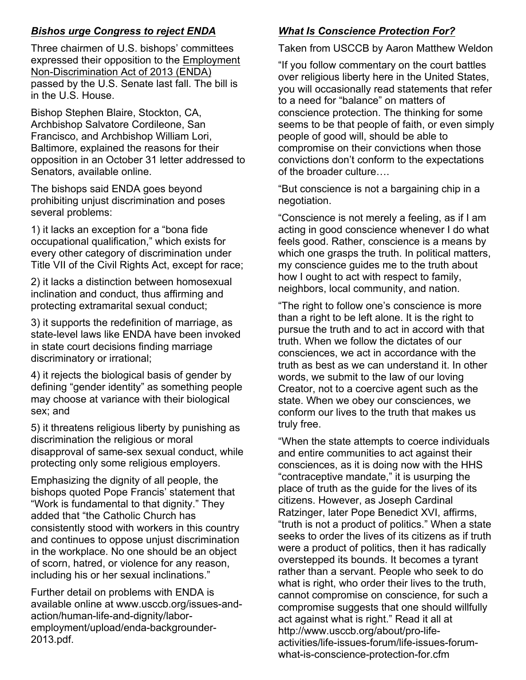### *Bishos urge Congress to reject ENDA*

Three chairmen of U.S. bishops' committees expressed their opposition to the Employment Non-Discrimination Act of 2013 (ENDA) passed by the U.S. Senate last fall. The bill is in the U.S. House.

Bishop Stephen Blaire, Stockton, CA, Archbishop Salvatore Cordileone, San Francisco, and Archbishop William Lori, Baltimore, explained the reasons for their opposition in an October 31 letter addressed to Senators, available online.

The bishops said ENDA goes beyond prohibiting unjust discrimination and poses several problems:

1) it lacks an exception for a "bona fide occupational qualification," which exists for every other category of discrimination under Title VII of the Civil Rights Act, except for race;

2) it lacks a distinction between homosexual inclination and conduct, thus affirming and protecting extramarital sexual conduct;

3) it supports the redefinition of marriage, as state-level laws like ENDA have been invoked in state court decisions finding marriage discriminatory or irrational;

4) it rejects the biological basis of gender by defining "gender identity" as something people may choose at variance with their biological sex; and

5) it threatens religious liberty by punishing as discrimination the religious or moral disapproval of same-sex sexual conduct, while protecting only some religious employers.

Emphasizing the dignity of all people, the bishops quoted Pope Francis' statement that "Work is fundamental to that dignity." They added that "the Catholic Church has consistently stood with workers in this country and continues to oppose unjust discrimination in the workplace. No one should be an object of scorn, hatred, or violence for any reason, including his or her sexual inclinations."

Further detail on problems with ENDA is available online at www.usccb.org/issues-andaction/human-life-and-dignity/laboremployment/upload/enda-backgrounder-2013.pdf.

### *What Is Conscience Protection For?*

### Taken from USCCB by Aaron Matthew Weldon

"If you follow commentary on the court battles over religious liberty here in the United States, you will occasionally read statements that refer to a need for "balance" on matters of conscience protection. The thinking for some seems to be that people of faith, or even simply people of good will, should be able to compromise on their convictions when those convictions don't conform to the expectations of the broader culture....

"But conscience is not a bargaining chip in a negotiation.

"Conscience is not merely a feeling, as if I am acting in good conscience whenever I do what feels good. Rather, conscience is a means by which one grasps the truth. In political matters, my conscience guides me to the truth about how I ought to act with respect to family, neighbors, local community, and nation.

"The right to follow one's conscience is more than a right to be left alone. It is the right to pursue the truth and to act in accord with that truth. When we follow the dictates of our consciences, we act in accordance with the truth as best as we can understand it. In other words, we submit to the law of our loving Creator, not to a coercive agent such as the state. When we obey our consciences, we conform our lives to the truth that makes us truly free.

"When the state attempts to coerce individuals and entire communities to act against their consciences, as it is doing now with the HHS "contraceptive mandate," it is usurping the place of truth as the guide for the lives of its citizens. However, as Joseph Cardinal Ratzinger, later Pope Benedict XVI, affirms, "truth is not a product of politics." When a state seeks to order the lives of its citizens as if truth were a product of politics, then it has radically overstepped its bounds. It becomes a tyrant rather than a servant. People who seek to do what is right, who order their lives to the truth, cannot compromise on conscience, for such a compromise suggests that one should willfully act against what is right." Read it all at http://www.usccb.org/about/pro-lifeactivities/life-issues-forum/life-issues-forumwhat-is-conscience-protection-for.cfm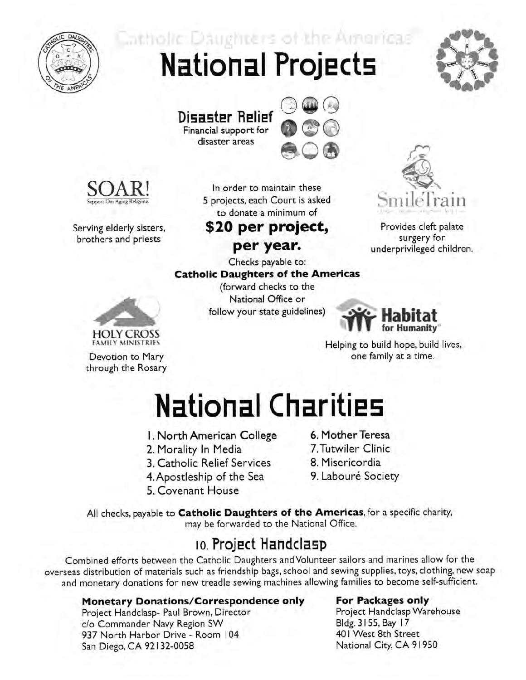

Catholic Daughters of the Americas **National Projects** 



**Disaster Relief** Financial support for disaster areas





Serving elderly sisters, brothers and priests

> **HOLY CROSS FAMILY MINISTRIES**

Devotion to Mary

through the Rosary

In order to maintain these 5 projects, each Court is asked to donate a minimum of

\$20 per project, per year.



Provides cleft palate surgery for underprivileged children.

Checks payable to: **Catholic Daughters of the Americas** (forward checks to the National Office or follow your state guidelines)



Helping to build hope, build lives, one family at a time.

## **National Charities**

- I. North American College
- 2. Morality In Media
- 3. Catholic Relief Services
- 4. Apostleship of the Sea
- 5. Covenant House
- 6. Mother Teresa
- 7. Tutwiler Clinic
- 8. Misericordia
- 9. Labouré Society

All checks, payable to Catholic Daughters of the Americas, for a specific charity, may be forwarded to the National Office.

### 10. Project Handclasp

Combined efforts between the Catholic Daughters and Volunteer sailors and marines allow for the overseas distribution of materials such as friendship bags, school and sewing supplies, toys, clothing, new soap and monetary donations for new treadle sewing machines allowing families to become self-sufficient.

### **Monetary Donations/Correspondence only**

Project Handclasp- Paul Brown, Director c/o Commander Navy Region SW 937 North Harbor Drive - Room 104 San Diego, CA 92132-0058

### **For Packages only**

Project Handclasp Warehouse Bldg. 3155, Bay 17 401 West 8th Street National City, CA 91950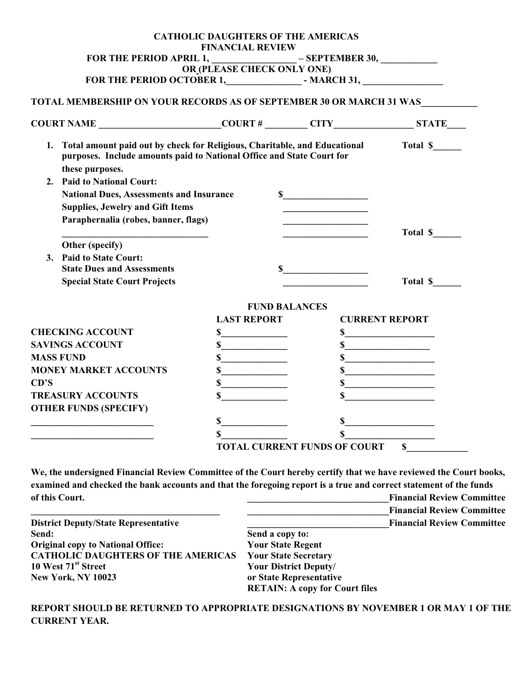|                                                                                                                                                                          | <b>CATHOLIC DAUGHTERS OF THE AMERICAS</b><br><b>FINANCIAL REVIEW</b> |                                                             |                       |  |
|--------------------------------------------------------------------------------------------------------------------------------------------------------------------------|----------------------------------------------------------------------|-------------------------------------------------------------|-----------------------|--|
|                                                                                                                                                                          |                                                                      |                                                             |                       |  |
|                                                                                                                                                                          |                                                                      |                                                             |                       |  |
|                                                                                                                                                                          |                                                                      |                                                             |                       |  |
| TOTAL MEMBERSHIP ON YOUR RECORDS AS OF SEPTEMBER 30 OR MARCH 31 WAS                                                                                                      |                                                                      |                                                             |                       |  |
| $COURT NAME$ $COURT$ $#$ $CITY$ $STATE$ $STATE$                                                                                                                          |                                                                      |                                                             |                       |  |
| 1. Total amount paid out by check for Religious, Charitable, and Educational<br>purposes. Include amounts paid to National Office and State Court for<br>these purposes. |                                                                      |                                                             | Total \$              |  |
| 2. Paid to National Court:                                                                                                                                               |                                                                      |                                                             |                       |  |
| <b>National Dues, Assessments and Insurance</b>                                                                                                                          |                                                                      | $\sim$                                                      |                       |  |
| <b>Supplies, Jewelry and Gift Items</b>                                                                                                                                  |                                                                      | the control of the control of the control of                |                       |  |
| Paraphernalia (robes, banner, flags)                                                                                                                                     |                                                                      | the control of the control of the control of the            |                       |  |
|                                                                                                                                                                          |                                                                      | the control of the control of the control of the control of | Total \$              |  |
| Other (specify)                                                                                                                                                          |                                                                      |                                                             |                       |  |
| 3. Paid to State Court:                                                                                                                                                  |                                                                      |                                                             |                       |  |
| <b>State Dues and Assessments</b>                                                                                                                                        |                                                                      |                                                             |                       |  |
| <b>Special State Court Projects</b>                                                                                                                                      |                                                                      |                                                             | Total \$              |  |
|                                                                                                                                                                          |                                                                      | <b>FUND BALANCES</b>                                        |                       |  |
|                                                                                                                                                                          | <b>LAST REPORT</b>                                                   |                                                             | <b>CURRENT REPORT</b> |  |
| <b>CHECKING ACCOUNT</b>                                                                                                                                                  | s                                                                    |                                                             | s                     |  |
| <b>SAVINGS ACCOUNT</b>                                                                                                                                                   | $\sim$                                                               |                                                             | $\sim$                |  |
| <b>MASS FUND</b>                                                                                                                                                         | s                                                                    |                                                             | s                     |  |
| <b>MONEY MARKET ACCOUNTS</b>                                                                                                                                             | $\sim$                                                               |                                                             | $\sim$                |  |
| CD'S                                                                                                                                                                     | s                                                                    |                                                             | $\sim$                |  |
| <b>TREASURY ACCOUNTS</b>                                                                                                                                                 | $\sim$                                                               |                                                             | $\sim$                |  |
| <b>OTHER FUNDS (SPECIFY)</b>                                                                                                                                             |                                                                      |                                                             |                       |  |
|                                                                                                                                                                          | $\sim$                                                               |                                                             |                       |  |
|                                                                                                                                                                          | $\sim$                                                               | $\mathbf S$<br><b>TOTAL CURRENT FUNDS OF COURT</b>          |                       |  |

**We, the undersigned Financial Review Committee of the Court hereby certify that we have reviewed the Court books, examined and checked the bank accounts and that the foregoing report is a true and correct statement of the funds**  of this Court. **Court. of this Court. of the Court of the Court of the Court of the Court of the Court of the Court of the Court of the Court of the Court of the Court of the Court of the Court**

|                                             |                                       | <b>Financial Review Committee</b> |
|---------------------------------------------|---------------------------------------|-----------------------------------|
| <b>District Deputy/State Representative</b> |                                       | <b>Financial Review Committee</b> |
| Send:                                       | Send a copy to:                       |                                   |
| <b>Original copy to National Office:</b>    | <b>Your State Regent</b>              |                                   |
| <b>CATHOLIC DAUGHTERS OF THE AMERICAS</b>   | <b>Your State Secretary</b>           |                                   |
| 10 West 71 <sup>st</sup> Street             | <b>Your District Deputy/</b>          |                                   |
| <b>New York, NY 10023</b>                   | or State Representative               |                                   |
|                                             | <b>RETAIN: A copy for Court files</b> |                                   |

**REPORT SHOULD BE RETURNED TO APPROPRIATE DESIGNATIONS BY NOVEMBER 1 OR MAY 1 OF THE CURRENT YEAR.**